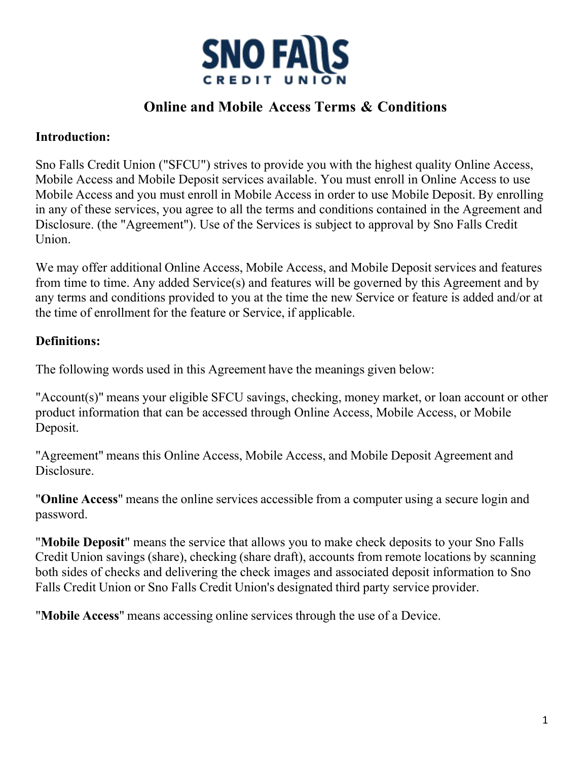

# **Online and Mobile Access Terms & Conditions**

### **Introduction:**

Sno Falls Credit Union ("SFCU") strives to provide you with the highest quality Online Access, Mobile Access and Mobile Deposit services available. You must enroll in Online Access to use Mobile Access and you must enroll in Mobile Access in order to use Mobile Deposit. By enrolling in any of these services, you agree to all the terms and conditions contained in the Agreement and Disclosure. (the "Agreement"). Use of the Services is subject to approval by Sno Falls Credit Union.

We may offer additional Online Access, Mobile Access, and Mobile Deposit services and features from time to time. Any added Service(s) and features will be governed by this Agreement and by any terms and conditions provided to you at the time the new Service or feature is added and/or at the time of enrollment for the feature or Service, if applicable.

# **Definitions:**

The following words used in this Agreement have the meanings given below:

"Account(s)" means your eligible SFCU savings, checking, money market, or loan account or other product information that can be accessed through Online Access, Mobile Access, or Mobile Deposit.

"Agreement" means this Online Access, Mobile Access, and Mobile Deposit Agreement and Disclosure.

"**Online Access**" means the online services accessible from a computer using a secure login and password.

"**Mobile Deposit**" means the service that allows you to make check deposits to your Sno Falls Credit Union savings (share), checking (share draft), accounts from remote locations by scanning both sides of checks and delivering the check images and associated deposit information to Sno Falls Credit Union or Sno Falls Credit Union's designated third party service provider.

"**Mobile Access**" means accessing online services through the use of a Device.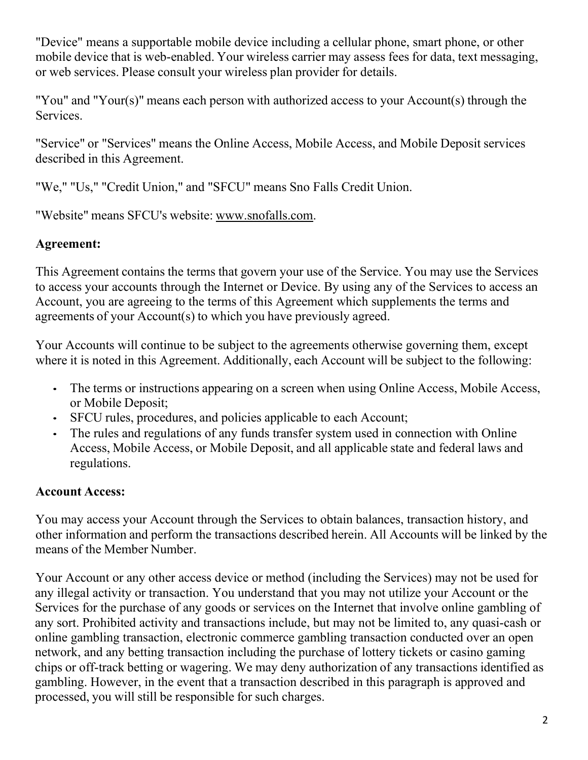"Device" means a supportable mobile device including a cellular phone, smart phone, or other mobile device that is web-enabled. Your wireless carrier may assess fees for data, text messaging, or web services. Please consult your wireless plan provider for details.

"You" and "Your(s)" means each person with authorized access to your Account(s) through the Services.

"Service" or "Services" means the Online Access, Mobile Access, and Mobile Deposit services described in this Agreement.

"We," "Us," "Credit Union," and "SFCU" means Sno Falls Credit Union.

"Website" means SFCU's website: [www.snofalls.com.](http://www.snofalls.com/)

# **Agreement:**

This Agreement contains the terms that govern your use of the Service. You may use the Services to access your accounts through the Internet or Device. By using any of the Services to access an Account, you are agreeing to the terms of this Agreement which supplements the terms and agreements of your Account(s) to which you have previously agreed.

Your Accounts will continue to be subject to the agreements otherwise governing them, except where it is noted in this Agreement. Additionally, each Account will be subject to the following:

- The terms or instructions appearing on a screen when using Online Access, Mobile Access, or Mobile Deposit;
- SFCU rules, procedures, and policies applicable to each Account;
- The rules and regulations of any funds transfer system used in connection with Online Access, Mobile Access, or Mobile Deposit, and all applicable state and federal laws and regulations.

# **Account Access:**

You may access your Account through the Services to obtain balances, transaction history, and other information and perform the transactions described herein. All Accounts will be linked by the means of the Member Number.

Your Account or any other access device or method (including the Services) may not be used for any illegal activity or transaction. You understand that you may not utilize your Account or the Services for the purchase of any goods or services on the Internet that involve online gambling of any sort. Prohibited activity and transactions include, but may not be limited to, any quasi-cash or online gambling transaction, electronic commerce gambling transaction conducted over an open network, and any betting transaction including the purchase of lottery tickets or casino gaming chips or off-track betting or wagering. We may deny authorization of any transactions identified as gambling. However, in the event that a transaction described in this paragraph is approved and processed, you will still be responsible for such charges.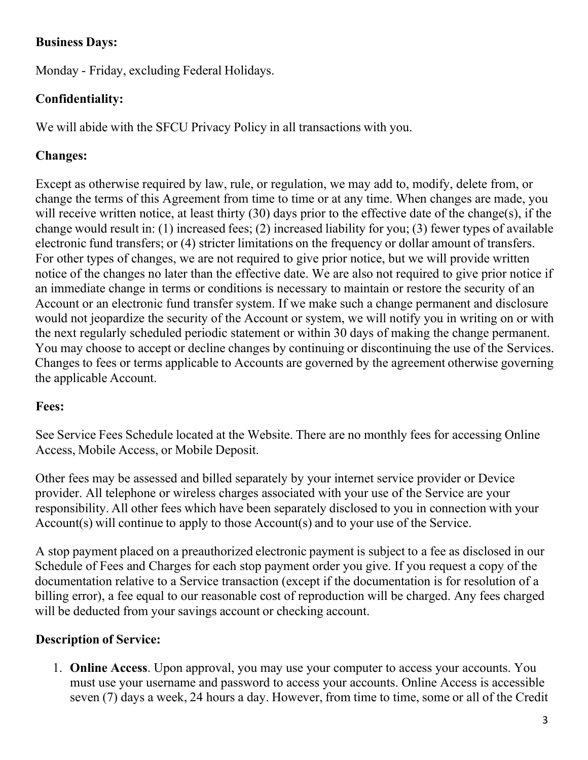# **Business Days:**

Monday - Friday, excluding Federal Holidays.

# **Confidentiality:**

We will abide with the SFCU Privacy Policy in all transactions with you.

# **Changes:**

Except as otherwise required by law, rule, or regulation, we may add to, modify, delete from, or change the terms of this Agreement from time to time or at any time. When changes are made, you will receive written notice, at least thirty (30) days prior to the effective date of the change(s), if the change would result in: (1) increased fees; (2) increased liability for you; (3) fewer types of available electronic fund transfers; or (4) stricter limitations on the frequency or dollar amount of transfers. For other types of changes, we are not required to give prior notice, but we will provide written notice of the changes no later than the effective date. We are also not required to give prior notice if an immediate change in terms or conditions is necessary to maintain or restore the security of an Account or an electronic fund transfer system. If we make such a change permanent and disclosure would not jeopardize the security of the Account or system, we will notify you in writing on or with the next regularly scheduled periodic statement or within 30 days of making the change permanent. You may choose to accept or decline changes by continuing or discontinuing the use of the Services. Changes to fees or terms applicable to Accounts are governed by the agreement otherwise governing the applicable Account.

# **Fees:**

See Service Fees Schedule located at the Website. There are no monthly fees for accessing Online Access, Mobile Access, or Mobile Deposit.

Other fees may be assessed and billed separately by your internet service provider or Device provider. All telephone or wireless charges associated with your use of the Service are your responsibility. All other fees which have been separately disclosed to you in connection with your Account(s) will continue to apply to those Account(s) and to your use of the Service.

A stop payment placed on a preauthorized electronic payment is subject to a fee as disclosed in our Schedule of Fees and Charges for each stop payment order you give. If you request a copy of the documentation relative to a Service transaction (except if the documentation is for resolution of a billing error), a fee equal to our reasonable cost of reproduction will be charged. Any fees charged will be deducted from your savings account or checking account.

# **Description of Service:**

1. **Online Access**. Upon approval, you may use your computer to access your accounts. You must use your username and password to access your accounts. Online Access is accessible seven (7) days a week, 24 hours a day. However, from time to time, some or all of the Credit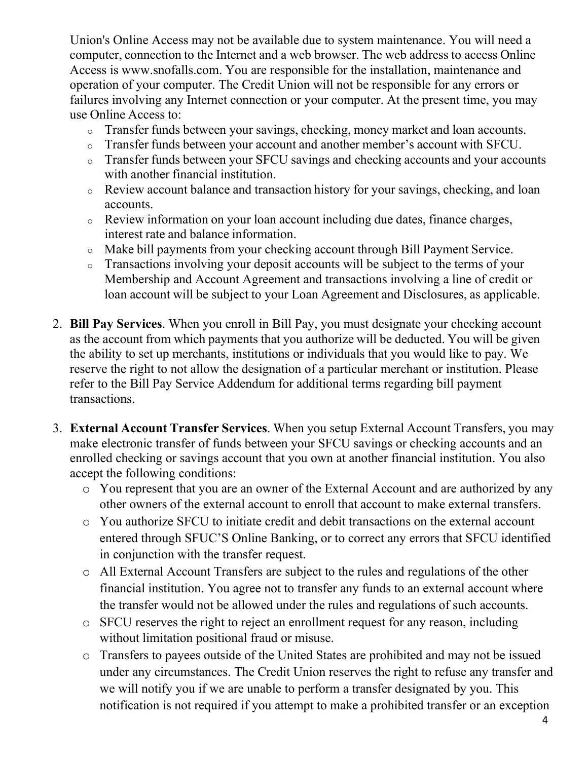Union's Online Access may not be available due to system maintenance. You will need a computer, connection to the Internet and a web browser. The web address to access Online Access is [www.snofalls.com. Y](http://www.snofalls.com/)ou are responsible for the installation, maintenance and operation of your computer. The Credit Union will not be responsible for any errors or failures involving any Internet connection or your computer. At the present time, you may use Online Access to:

- <sup>o</sup> Transfer funds between your savings, checking, money market and loan accounts.
- <sup>o</sup> Transfer funds between your account and another member's account with SFCU.
- <sup>o</sup> Transfer funds between your SFCU savings and checking accounts and your accounts with another financial institution.
- <sup>o</sup> Review account balance and transaction history for your savings, checking, and loan accounts.
- <sup>o</sup> Review information on your loan account including due dates, finance charges, interest rate and balance information.
- <sup>o</sup> Make bill payments from your checking account through Bill Payment Service.
- <sup>o</sup> Transactions involving your deposit accounts will be subject to the terms of your Membership and Account Agreement and transactions involving a line of credit or loan account will be subject to your Loan Agreement and Disclosures, as applicable.
- 2. **Bill Pay Services**. When you enroll in Bill Pay, you must designate your checking account as the account from which payments that you authorize will be deducted. You will be given the ability to set up merchants, institutions or individuals that you would like to pay. We reserve the right to not allow the designation of a particular merchant or institution. Please refer to the Bill Pay Service Addendum for additional terms regarding bill payment transactions.
- 3. **External Account Transfer Services**. When you setup External Account Transfers, you may make electronic transfer of funds between your SFCU savings or checking accounts and an enrolled checking or savings account that you own at another financial institution. You also accept the following conditions:
	- o You represent that you are an owner of the External Account and are authorized by any other owners of the external account to enroll that account to make external transfers.
	- o You authorize SFCU to initiate credit and debit transactions on the external account entered through SFUC'S Online Banking, or to correct any errors that SFCU identified in conjunction with the transfer request.
	- o All External Account Transfers are subject to the rules and regulations of the other financial institution. You agree not to transfer any funds to an external account where the transfer would not be allowed under the rules and regulations of such accounts.
	- o SFCU reserves the right to reject an enrollment request for any reason, including without limitation positional fraud or misuse.
	- o Transfers to payees outside of the United States are prohibited and may not be issued under any circumstances. The Credit Union reserves the right to refuse any transfer and we will notify you if we are unable to perform a transfer designated by you. This notification is not required if you attempt to make a prohibited transfer or an exception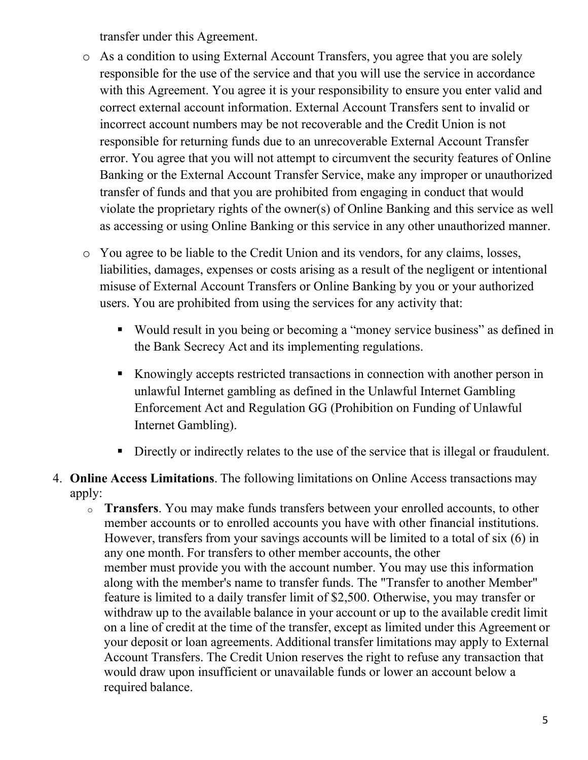transfer under this Agreement.

- o As a condition to using External Account Transfers, you agree that you are solely responsible for the use of the service and that you will use the service in accordance with this Agreement. You agree it is your responsibility to ensure you enter valid and correct external account information. External Account Transfers sent to invalid or incorrect account numbers may be not recoverable and the Credit Union is not responsible for returning funds due to an unrecoverable External Account Transfer error. You agree that you will not attempt to circumvent the security features of Online Banking or the External Account Transfer Service, make any improper or unauthorized transfer of funds and that you are prohibited from engaging in conduct that would violate the proprietary rights of the owner(s) of Online Banking and this service as well as accessing or using Online Banking or this service in any other unauthorized manner.
- o You agree to be liable to the Credit Union and its vendors, for any claims, losses, liabilities, damages, expenses or costs arising as a result of the negligent or intentional misuse of External Account Transfers or Online Banking by you or your authorized users. You are prohibited from using the services for any activity that:
	- Would result in you being or becoming a "money service business" as defined in the Bank Secrecy Act and its implementing regulations.
	- Knowingly accepts restricted transactions in connection with another person in unlawful Internet gambling as defined in the Unlawful Internet Gambling Enforcement Act and Regulation GG (Prohibition on Funding of Unlawful Internet Gambling).
	- Directly or indirectly relates to the use of the service that is illegal or fraudulent.
- 4. **Online Access Limitations**. The following limitations on Online Access transactions may apply:
	- <sup>o</sup> **Transfers**. You may make funds transfers between your enrolled accounts, to other member accounts or to enrolled accounts you have with other financial institutions. However, transfers from your savings accounts will be limited to a total of six (6) in any one month. For transfers to other member accounts, the other member must provide you with the account number. You may use this information along with the member's name to transfer funds. The "Transfer to another Member" feature is limited to a daily transfer limit of \$2,500. Otherwise, you may transfer or withdraw up to the available balance in your account or up to the available credit limit on a line of credit at the time of the transfer, except as limited under this Agreement or your deposit or loan agreements. Additional transfer limitations may apply to External Account Transfers. The Credit Union reserves the right to refuse any transaction that would draw upon insufficient or unavailable funds or lower an account below a required balance.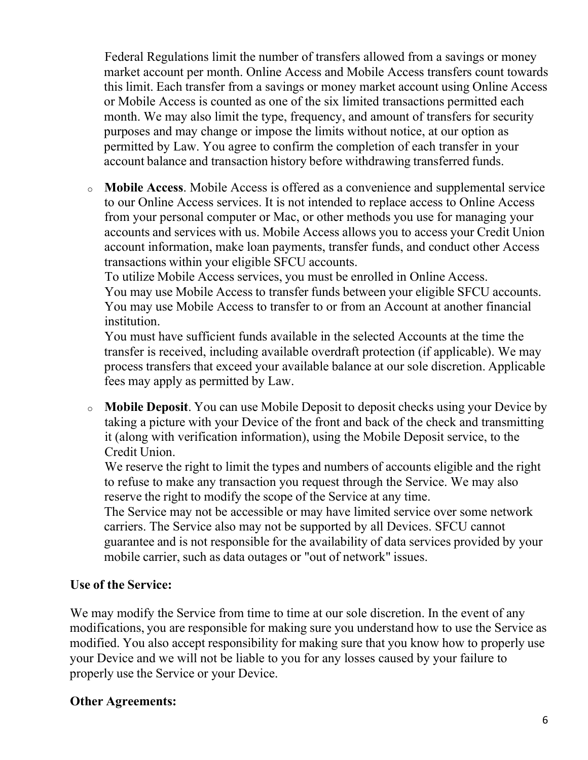Federal Regulations limit the number of transfers allowed from a savings or money market account per month. Online Access and Mobile Access transfers count towards this limit. Each transfer from a savings or money market account using Online Access or Mobile Access is counted as one of the six limited transactions permitted each month. We may also limit the type, frequency, and amount of transfers for security purposes and may change or impose the limits without notice, at our option as permitted by Law. You agree to confirm the completion of each transfer in your account balance and transaction history before withdrawing transferred funds.

<sup>o</sup> **Mobile Access**. Mobile Access is offered as a convenience and supplemental service to our Online Access services. It is not intended to replace access to Online Access from your personal computer or Mac, or other methods you use for managing your accounts and services with us. Mobile Access allows you to access your Credit Union account information, make loan payments, transfer funds, and conduct other Access transactions within your eligible SFCU accounts.

To utilize Mobile Access services, you must be enrolled in Online Access.

You may use Mobile Access to transfer funds between your eligible SFCU accounts. You may use Mobile Access to transfer to or from an Account at another financial institution.

You must have sufficient funds available in the selected Accounts at the time the transfer is received, including available overdraft protection (if applicable). We may process transfers that exceed your available balance at our sole discretion. Applicable fees may apply as permitted by Law.

<sup>o</sup> **Mobile Deposit**. You can use Mobile Deposit to deposit checks using your Device by taking a picture with your Device of the front and back of the check and transmitting it (along with verification information), using the Mobile Deposit service, to the Credit Union.

We reserve the right to limit the types and numbers of accounts eligible and the right to refuse to make any transaction you request through the Service. We may also reserve the right to modify the scope of the Service at any time.

The Service may not be accessible or may have limited service over some network carriers. The Service also may not be supported by all Devices. SFCU cannot guarantee and is not responsible for the availability of data services provided by your mobile carrier, such as data outages or "out of network" issues.

### **Use of the Service:**

We may modify the Service from time to time at our sole discretion. In the event of any modifications, you are responsible for making sure you understand how to use the Service as modified. You also accept responsibility for making sure that you know how to properly use your Device and we will not be liable to you for any losses caused by your failure to properly use the Service or your Device.

# **Other Agreements:**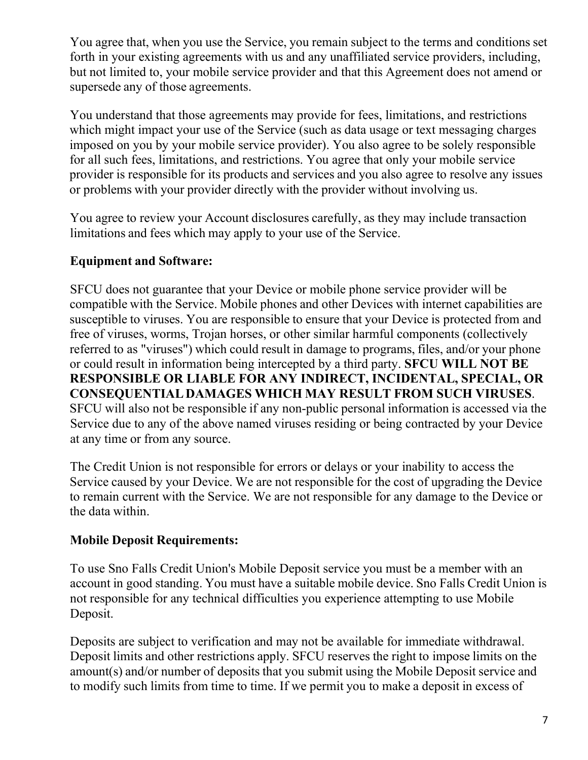You agree that, when you use the Service, you remain subject to the terms and conditions set forth in your existing agreements with us and any unaffiliated service providers, including, but not limited to, your mobile service provider and that this Agreement does not amend or supersede any of those agreements.

You understand that those agreements may provide for fees, limitations, and restrictions which might impact your use of the Service (such as data usage or text messaging charges imposed on you by your mobile service provider). You also agree to be solely responsible for all such fees, limitations, and restrictions. You agree that only your mobile service provider is responsible for its products and services and you also agree to resolve any issues or problems with your provider directly with the provider without involving us.

You agree to review your Account disclosures carefully, as they may include transaction limitations and fees which may apply to your use of the Service.

# **Equipment and Software:**

SFCU does not guarantee that your Device or mobile phone service provider will be compatible with the Service. Mobile phones and other Devices with internet capabilities are susceptible to viruses. You are responsible to ensure that your Device is protected from and free of viruses, worms, Trojan horses, or other similar harmful components (collectively referred to as "viruses") which could result in damage to programs, files, and/or your phone or could result in information being intercepted by a third party. **SFCU WILL NOT BE RESPONSIBLE OR LIABLE FOR ANY INDIRECT, INCIDENTAL, SPECIAL, OR CONSEQUENTIAL DAMAGES WHICH MAY RESULT FROM SUCH VIRUSES**. SFCU will also not be responsible if any non-public personal information is accessed via the Service due to any of the above named viruses residing or being contracted by your Device at any time or from any source.

The Credit Union is not responsible for errors or delays or your inability to access the Service caused by your Device. We are not responsible for the cost of upgrading the Device to remain current with the Service. We are not responsible for any damage to the Device or the data within.

# **Mobile Deposit Requirements:**

To use Sno Falls Credit Union's Mobile Deposit service you must be a member with an account in good standing. You must have a suitable mobile device. Sno Falls Credit Union is not responsible for any technical difficulties you experience attempting to use Mobile Deposit.

Deposits are subject to verification and may not be available for immediate withdrawal. Deposit limits and other restrictions apply. SFCU reserves the right to impose limits on the amount(s) and/or number of deposits that you submit using the Mobile Deposit service and to modify such limits from time to time. If we permit you to make a deposit in excess of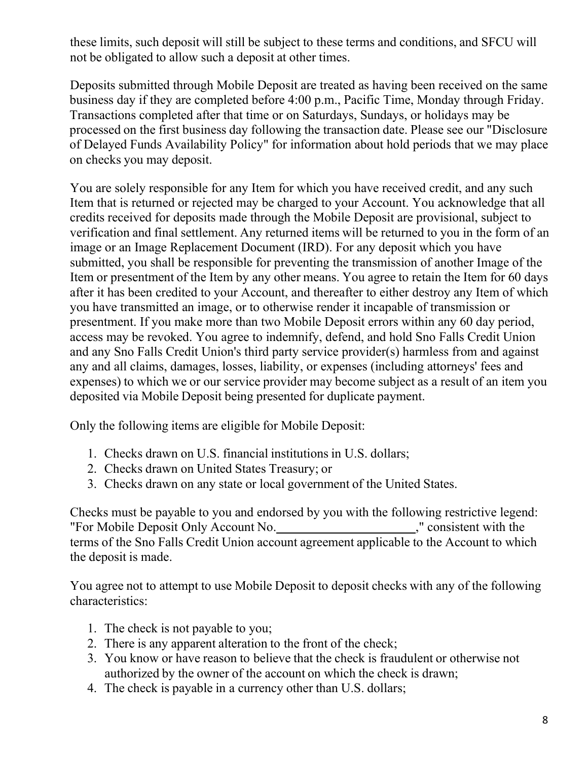these limits, such deposit will still be subject to these terms and conditions, and SFCU will not be obligated to allow such a deposit at other times.

Deposits submitted through Mobile Deposit are treated as having been received on the same business day if they are completed before 4:00 p.m., Pacific Time, Monday through Friday. Transactions completed after that time or on Saturdays, Sundays, or holidays may be processed on the first business day following the transaction date. Please see our "Disclosure of Delayed Funds Availability Policy" for information about hold periods that we may place on checks you may deposit.

You are solely responsible for any Item for which you have received credit, and any such Item that is returned or rejected may be charged to your Account. You acknowledge that all credits received for deposits made through the Mobile Deposit are provisional, subject to verification and final settlement. Any returned items will be returned to you in the form of an image or an Image Replacement Document (IRD). For any deposit which you have submitted, you shall be responsible for preventing the transmission of another Image of the Item or presentment of the Item by any other means. You agree to retain the Item for 60 days after it has been credited to your Account, and thereafter to either destroy any Item of which you have transmitted an image, or to otherwise render it incapable of transmission or presentment. If you make more than two Mobile Deposit errors within any 60 day period, access may be revoked. You agree to indemnify, defend, and hold Sno Falls Credit Union and any Sno Falls Credit Union's third party service provider(s) harmless from and against any and all claims, damages, losses, liability, or expenses (including attorneys' fees and expenses) to which we or our service provider may become subject as a result of an item you deposited via Mobile Deposit being presented for duplicate payment.

Only the following items are eligible for Mobile Deposit:

- 1. Checks drawn on U.S. financial institutions in U.S. dollars;
- 2. Checks drawn on United States Treasury; or
- 3. Checks drawn on any state or local government of the United States.

Checks must be payable to you and endorsed by you with the following restrictive legend: "For Mobile Deposit Only Account No. ," consistent with the terms of the Sno Falls Credit Union account agreement applicable to the Account to which the deposit is made.

You agree not to attempt to use Mobile Deposit to deposit checks with any of the following characteristics:

- 1. The check is not payable to you;
- 2. There is any apparent alteration to the front of the check;
- 3. You know or have reason to believe that the check is fraudulent or otherwise not authorized by the owner of the account on which the check is drawn;
- 4. The check is payable in a currency other than U.S. dollars;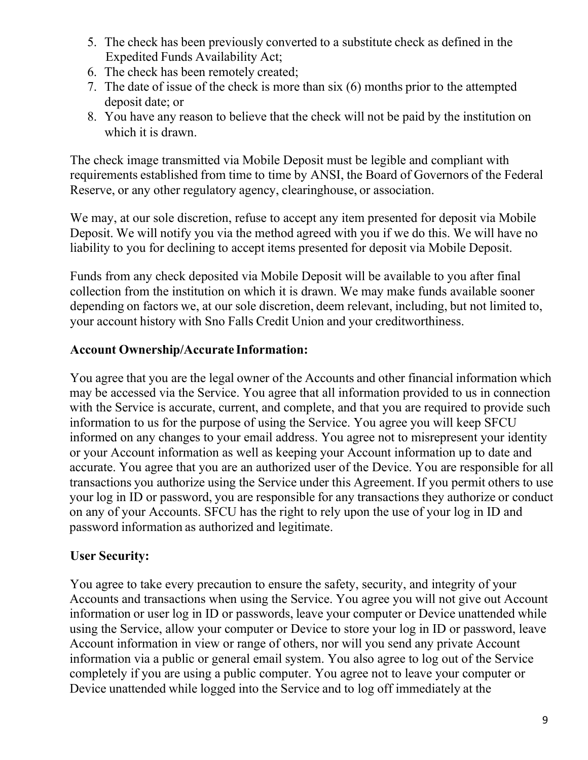- 5. The check has been previously converted to a substitute check as defined in the Expedited Funds Availability Act;
- 6. The check has been remotely created;
- 7. The date of issue of the check is more than six (6) months prior to the attempted deposit date; or
- 8. You have any reason to believe that the check will not be paid by the institution on which it is drawn.

The check image transmitted via Mobile Deposit must be legible and compliant with requirements established from time to time by ANSI, the Board of Governors of the Federal Reserve, or any other regulatory agency, clearinghouse, or association.

We may, at our sole discretion, refuse to accept any item presented for deposit via Mobile Deposit. We will notify you via the method agreed with you if we do this. We will have no liability to you for declining to accept items presented for deposit via Mobile Deposit.

Funds from any check deposited via Mobile Deposit will be available to you after final collection from the institution on which it is drawn. We may make funds available sooner depending on factors we, at our sole discretion, deem relevant, including, but not limited to, your account history with Sno Falls Credit Union and your creditworthiness.

# **Account Ownership/Accurate Information:**

You agree that you are the legal owner of the Accounts and other financial information which may be accessed via the Service. You agree that all information provided to us in connection with the Service is accurate, current, and complete, and that you are required to provide such information to us for the purpose of using the Service. You agree you will keep SFCU informed on any changes to your email address. You agree not to misrepresent your identity or your Account information as well as keeping your Account information up to date and accurate. You agree that you are an authorized user of the Device. You are responsible for all transactions you authorize using the Service under this Agreement. If you permit others to use your log in ID or password, you are responsible for any transactions they authorize or conduct on any of your Accounts. SFCU has the right to rely upon the use of your log in ID and password information as authorized and legitimate.

# **User Security:**

You agree to take every precaution to ensure the safety, security, and integrity of your Accounts and transactions when using the Service. You agree you will not give out Account information or user log in ID or passwords, leave your computer or Device unattended while using the Service, allow your computer or Device to store your log in ID or password, leave Account information in view or range of others, nor will you send any private Account information via a public or general email system. You also agree to log out of the Service completely if you are using a public computer. You agree not to leave your computer or Device unattended while logged into the Service and to log off immediately at the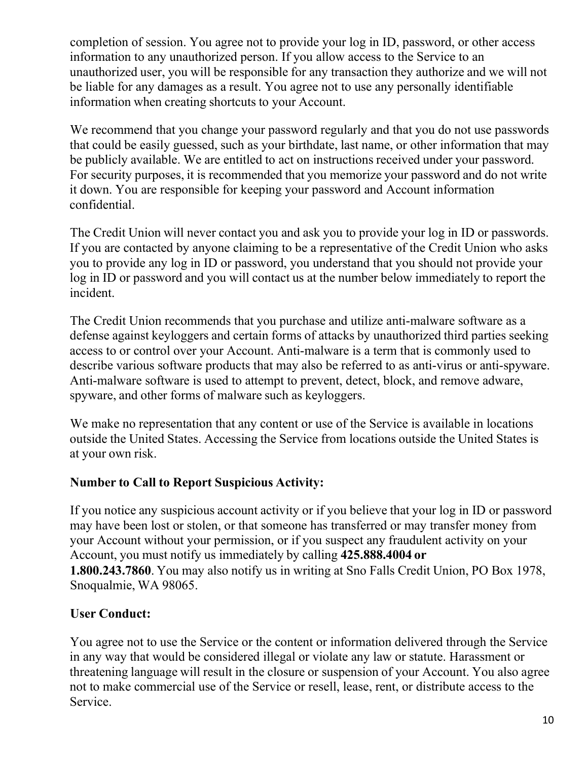completion of session. You agree not to provide your log in ID, password, or other access information to any unauthorized person. If you allow access to the Service to an unauthorized user, you will be responsible for any transaction they authorize and we will not be liable for any damages as a result. You agree not to use any personally identifiable information when creating shortcuts to your Account.

We recommend that you change your password regularly and that you do not use passwords that could be easily guessed, such as your birthdate, last name, or other information that may be publicly available. We are entitled to act on instructions received under your password. For security purposes, it is recommended that you memorize your password and do not write it down. You are responsible for keeping your password and Account information confidential.

The Credit Union will never contact you and ask you to provide your log in ID or passwords. If you are contacted by anyone claiming to be a representative of the Credit Union who asks you to provide any log in ID or password, you understand that you should not provide your log in ID or password and you will contact us at the number below immediately to report the incident.

The Credit Union recommends that you purchase and utilize anti-malware software as a defense against keyloggers and certain forms of attacks by unauthorized third parties seeking access to or control over your Account. Anti-malware is a term that is commonly used to describe various software products that may also be referred to as anti-virus or anti-spyware. Anti-malware software is used to attempt to prevent, detect, block, and remove adware, spyware, and other forms of malware such as keyloggers.

We make no representation that any content or use of the Service is available in locations outside the United States. Accessing the Service from locations outside the United States is at your own risk.

# **Number to Call to Report Suspicious Activity:**

If you notice any suspicious account activity or if you believe that your log in ID or password may have been lost or stolen, or that someone has transferred or may transfer money from your Account without your permission, or if you suspect any fraudulent activity on your Account, you must notify us immediately by calling **425.888.4004 or 1.800.243.7860**. You may also notify us in writing at Sno Falls Credit Union, PO Box 1978, Snoqualmie, WA 98065.

# **User Conduct:**

You agree not to use the Service or the content or information delivered through the Service in any way that would be considered illegal or violate any law or statute. Harassment or threatening language will result in the closure or suspension of your Account. You also agree not to make commercial use of the Service or resell, lease, rent, or distribute access to the Service.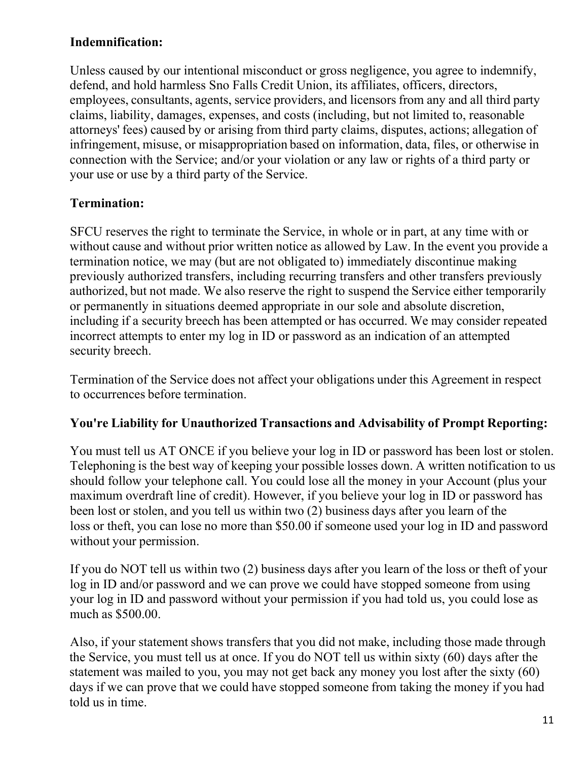# **Indemnification:**

Unless caused by our intentional misconduct or gross negligence, you agree to indemnify, defend, and hold harmless Sno Falls Credit Union, its affiliates, officers, directors, employees, consultants, agents, service providers, and licensors from any and all third party claims, liability, damages, expenses, and costs (including, but not limited to, reasonable attorneys' fees) caused by or arising from third party claims, disputes, actions; allegation of infringement, misuse, or misappropriation based on information, data, files, or otherwise in connection with the Service; and/or your violation or any law or rights of a third party or your use or use by a third party of the Service.

# **Termination:**

SFCU reserves the right to terminate the Service, in whole or in part, at any time with or without cause and without prior written notice as allowed by Law. In the event you provide a termination notice, we may (but are not obligated to) immediately discontinue making previously authorized transfers, including recurring transfers and other transfers previously authorized, but not made. We also reserve the right to suspend the Service either temporarily or permanently in situations deemed appropriate in our sole and absolute discretion, including if a security breech has been attempted or has occurred. We may consider repeated incorrect attempts to enter my log in ID or password as an indication of an attempted security breech.

Termination of the Service does not affect your obligations under this Agreement in respect to occurrences before termination.

# **You're Liability for Unauthorized Transactions and Advisability of Prompt Reporting:**

You must tell us AT ONCE if you believe your log in ID or password has been lost or stolen. Telephoning is the best way of keeping your possible losses down. A written notification to us should follow your telephone call. You could lose all the money in your Account (plus your maximum overdraft line of credit). However, if you believe your log in ID or password has been lost or stolen, and you tell us within two (2) business days after you learn of the loss or theft, you can lose no more than \$50.00 if someone used your log in ID and password without your permission.

If you do NOT tell us within two (2) business days after you learn of the loss or theft of your log in ID and/or password and we can prove we could have stopped someone from using your log in ID and password without your permission if you had told us, you could lose as much as \$500.00.

Also, if your statement shows transfers that you did not make, including those made through the Service, you must tell us at once. If you do NOT tell us within sixty (60) days after the statement was mailed to you, you may not get back any money you lost after the sixty (60) days if we can prove that we could have stopped someone from taking the money if you had told us in time.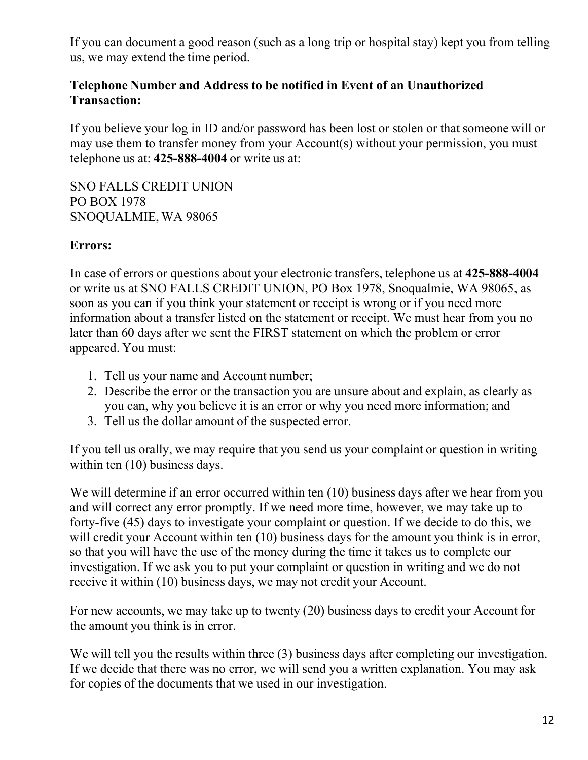If you can document a good reason (such as a long trip or hospital stay) kept you from telling us, we may extend the time period.

### **Telephone Number and Address to be notified in Event of an Unauthorized Transaction:**

If you believe your log in ID and/or password has been lost or stolen or that someone will or may use them to transfer money from your Account(s) without your permission, you must telephone us at: **425-888-4004** or write us at:

SNO FALLS CREDIT UNION PO BOX 1978 SNOQUALMIE, WA 98065

### **Errors:**

In case of errors or questions about your electronic transfers, telephone us at **425-888-4004** or write us at SNO FALLS CREDIT UNION, PO Box 1978, Snoqualmie, WA 98065, as soon as you can if you think your statement or receipt is wrong or if you need more information about a transfer listed on the statement or receipt. We must hear from you no later than 60 days after we sent the FIRST statement on which the problem or error appeared. You must:

- 1. Tell us your name and Account number;
- 2. Describe the error or the transaction you are unsure about and explain, as clearly as you can, why you believe it is an error or why you need more information; and
- 3. Tell us the dollar amount of the suspected error.

If you tell us orally, we may require that you send us your complaint or question in writing within ten (10) business days.

We will determine if an error occurred within ten (10) business days after we hear from you and will correct any error promptly. If we need more time, however, we may take up to forty-five (45) days to investigate your complaint or question. If we decide to do this, we will credit your Account within ten (10) business days for the amount you think is in error, so that you will have the use of the money during the time it takes us to complete our investigation. If we ask you to put your complaint or question in writing and we do not receive it within (10) business days, we may not credit your Account.

For new accounts, we may take up to twenty (20) business days to credit your Account for the amount you think is in error.

We will tell you the results within three (3) business days after completing our investigation. If we decide that there was no error, we will send you a written explanation. You may ask for copies of the documents that we used in our investigation.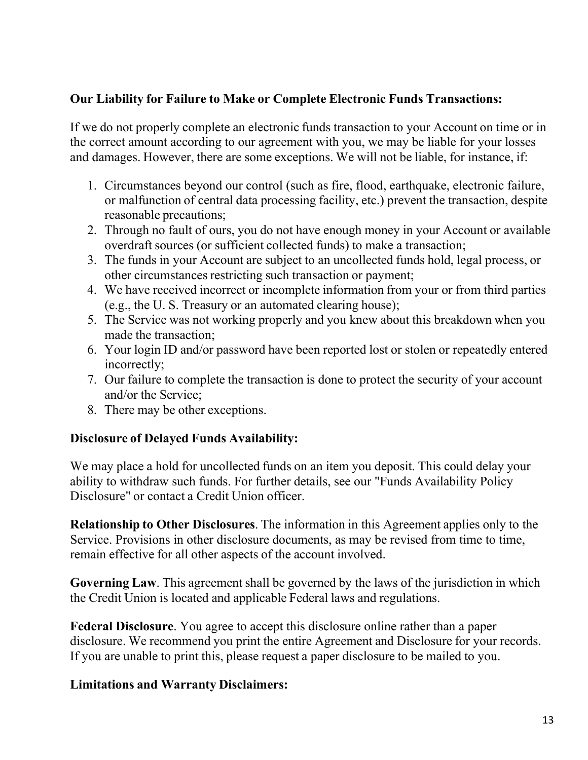# **Our Liability for Failure to Make or Complete Electronic Funds Transactions:**

If we do not properly complete an electronic funds transaction to your Account on time or in the correct amount according to our agreement with you, we may be liable for your losses and damages. However, there are some exceptions. We will not be liable, for instance, if:

- 1. Circumstances beyond our control (such as fire, flood, earthquake, electronic failure, or malfunction of central data processing facility, etc.) prevent the transaction, despite reasonable precautions;
- 2. Through no fault of ours, you do not have enough money in your Account or available overdraft sources (or sufficient collected funds) to make a transaction;
- 3. The funds in your Account are subject to an uncollected funds hold, legal process, or other circumstances restricting such transaction or payment;
- 4. We have received incorrect or incomplete information from your or from third parties (e.g., the U. S. Treasury or an automated clearing house);
- 5. The Service was not working properly and you knew about this breakdown when you made the transaction;
- 6. Your login ID and/or password have been reported lost or stolen or repeatedly entered incorrectly;
- 7. Our failure to complete the transaction is done to protect the security of your account and/or the Service;
- 8. There may be other exceptions.

# **Disclosure of Delayed Funds Availability:**

We may place a hold for uncollected funds on an item you deposit. This could delay your ability to withdraw such funds. For further details, see our "Funds Availability Policy Disclosure" or contact a Credit Union officer.

**Relationship to Other Disclosures**. The information in this Agreement applies only to the Service. Provisions in other disclosure documents, as may be revised from time to time, remain effective for all other aspects of the account involved.

**Governing Law**. This agreement shall be governed by the laws of the jurisdiction in which the Credit Union is located and applicable Federal laws and regulations.

**Federal Disclosure**. You agree to accept this disclosure online rather than a paper disclosure. We recommend you print the entire Agreement and Disclosure for your records. If you are unable to print this, please request a paper disclosure to be mailed to you.

### **Limitations and Warranty Disclaimers:**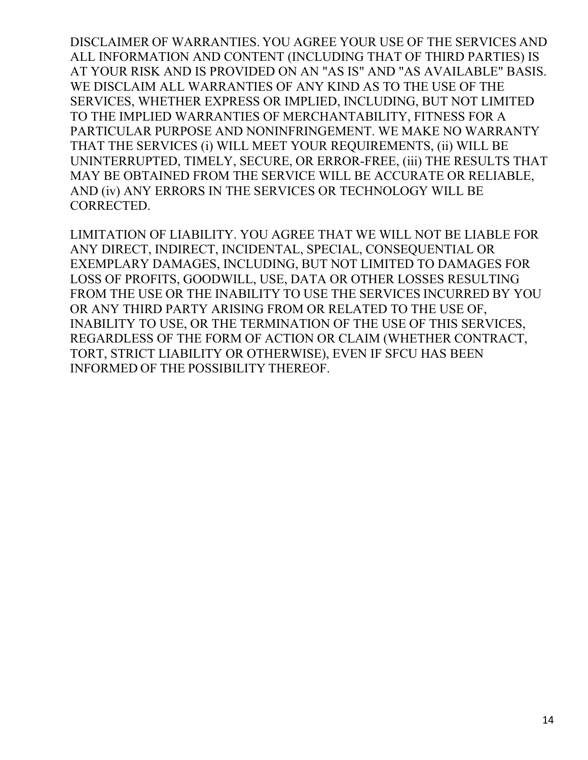DISCLAIMER OF WARRANTIES. YOU AGREE YOUR USE OF THE SERVICES AND ALL INFORMATION AND CONTENT (INCLUDING THAT OF THIRD PARTIES) IS AT YOUR RISK AND IS PROVIDED ON AN "AS IS" AND "AS AVAILABLE" BASIS. WE DISCLAIM ALL WARRANTIES OF ANY KIND AS TO THE USE OF THE SERVICES, WHETHER EXPRESS OR IMPLIED, INCLUDING, BUT NOT LIMITED TO THE IMPLIED WARRANTIES OF MERCHANTABILITY, FITNESS FOR A PARTICULAR PURPOSE AND NONINFRINGEMENT. WE MAKE NO WARRANTY THAT THE SERVICES (i) WILL MEET YOUR REQUIREMENTS, (ii) WILL BE UNINTERRUPTED, TIMELY, SECURE, OR ERROR-FREE, (iii) THE RESULTS THAT MAY BE OBTAINED FROM THE SERVICE WILL BE ACCURATE OR RELIABLE, AND (iv) ANY ERRORS IN THE SERVICES OR TECHNOLOGY WILL BE CORRECTED.

LIMITATION OF LIABILITY. YOU AGREE THAT WE WILL NOT BE LIABLE FOR ANY DIRECT, INDIRECT, INCIDENTAL, SPECIAL, CONSEQUENTIAL OR EXEMPLARY DAMAGES, INCLUDING, BUT NOT LIMITED TO DAMAGES FOR LOSS OF PROFITS, GOODWILL, USE, DATA OR OTHER LOSSES RESULTING FROM THE USE OR THE INABILITY TO USE THE SERVICES INCURRED BY YOU OR ANY THIRD PARTY ARISING FROM OR RELATED TO THE USE OF, INABILITY TO USE, OR THE TERMINATION OF THE USE OF THIS SERVICES, REGARDLESS OF THE FORM OF ACTION OR CLAIM (WHETHER CONTRACT, TORT, STRICT LIABILITY OR OTHERWISE), EVEN IF SFCU HAS BEEN INFORMED OF THE POSSIBILITY THEREOF.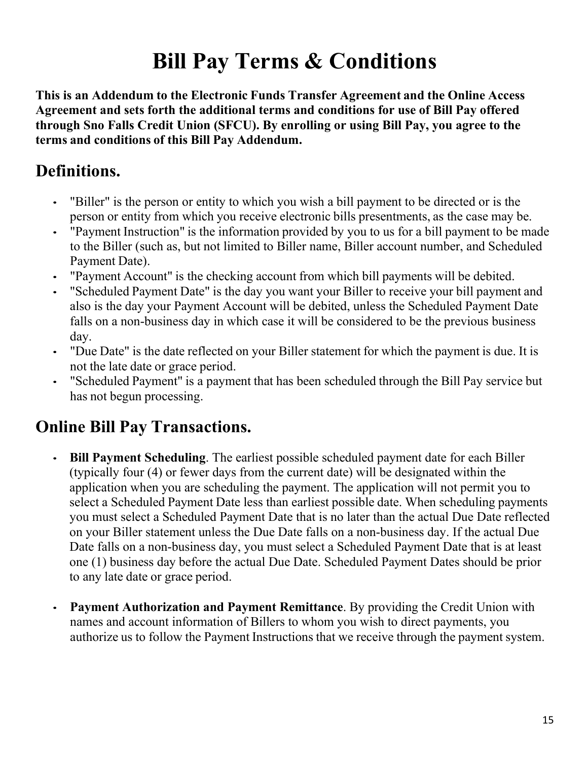# **Bill Pay Terms & Conditions**

**This is an Addendum to the Electronic Funds Transfer Agreement and the Online Access Agreement and sets forth the additional terms and conditions for use of Bill Pay offered through Sno Falls Credit Union (SFCU). By enrolling or using Bill Pay, you agree to the terms and conditions of this Bill Pay Addendum.**

# **Definitions.**

- "Biller" is the person or entity to which you wish a bill payment to be directed or is the person or entity from which you receive electronic bills presentments, as the case may be.
- "Payment Instruction" is the information provided by you to us for a bill payment to be made to the Biller (such as, but not limited to Biller name, Biller account number, and Scheduled Payment Date).
- "Payment Account" is the checking account from which bill payments will be debited.
- "Scheduled Payment Date" is the day you want your Biller to receive your bill payment and also is the day your Payment Account will be debited, unless the Scheduled Payment Date falls on a non-business day in which case it will be considered to be the previous business day.
- "Due Date" is the date reflected on your Biller statement for which the payment is due. It is not the late date or grace period.
- "Scheduled Payment" is a payment that has been scheduled through the Bill Pay service but has not begun processing.

# **Online Bill Pay Transactions.**

- **Bill Payment Scheduling**. The earliest possible scheduled payment date for each Biller (typically four (4) or fewer days from the current date) will be designated within the application when you are scheduling the payment. The application will not permit you to select a Scheduled Payment Date less than earliest possible date. When scheduling payments you must select a Scheduled Payment Date that is no later than the actual Due Date reflected on your Biller statement unless the Due Date falls on a non-business day. If the actual Due Date falls on a non-business day, you must select a Scheduled Payment Date that is at least one (1) business day before the actual Due Date. Scheduled Payment Dates should be prior to any late date or grace period.
- **Payment Authorization and Payment Remittance**. By providing the Credit Union with names and account information of Billers to whom you wish to direct payments, you authorize us to follow the Payment Instructions that we receive through the payment system.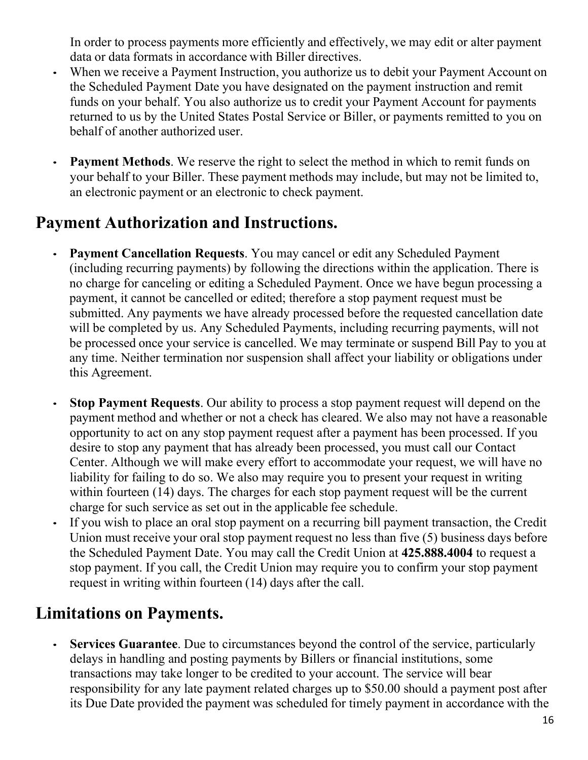In order to process payments more efficiently and effectively, we may edit or alter payment data or data formats in accordance with Biller directives.

- When we receive a Payment Instruction, you authorize us to debit your Payment Account on the Scheduled Payment Date you have designated on the payment instruction and remit funds on your behalf. You also authorize us to credit your Payment Account for payments returned to us by the United States Postal Service or Biller, or payments remitted to you on behalf of another authorized user.
- **Payment Methods**. We reserve the right to select the method in which to remit funds on your behalf to your Biller. These payment methods may include, but may not be limited to, an electronic payment or an electronic to check payment.

# **Payment Authorization and Instructions.**

- **Payment Cancellation Requests.** You may cancel or edit any Scheduled Payment (including recurring payments) by following the directions within the application. There is no charge for canceling or editing a Scheduled Payment. Once we have begun processing a payment, it cannot be cancelled or edited; therefore a stop payment request must be submitted. Any payments we have already processed before the requested cancellation date will be completed by us. Any Scheduled Payments, including recurring payments, will not be processed once your service is cancelled. We may terminate or suspend Bill Pay to you at any time. Neither termination nor suspension shall affect your liability or obligations under this Agreement.
- **Stop Payment Requests**. Our ability to process a stop payment request will depend on the payment method and whether or not a check has cleared. We also may not have a reasonable opportunity to act on any stop payment request after a payment has been processed. If you desire to stop any payment that has already been processed, you must call our Contact Center. Although we will make every effort to accommodate your request, we will have no liability for failing to do so. We also may require you to present your request in writing within fourteen (14) days. The charges for each stop payment request will be the current charge for such service as set out in the applicable fee schedule.
- If you wish to place an oral stop payment on a recurring bill payment transaction, the Credit Union must receive your oral stop payment request no less than five (5) business days before the Scheduled Payment Date. You may call the Credit Union at **425.888.4004** to request a stop payment. If you call, the Credit Union may require you to confirm your stop payment request in writing within fourteen (14) days after the call.

# **Limitations on Payments.**

**Services Guarantee.** Due to circumstances beyond the control of the service, particularly delays in handling and posting payments by Billers or financial institutions, some transactions may take longer to be credited to your account. The service will bear responsibility for any late payment related charges up to \$50.00 should a payment post after its Due Date provided the payment was scheduled for timely payment in accordance with the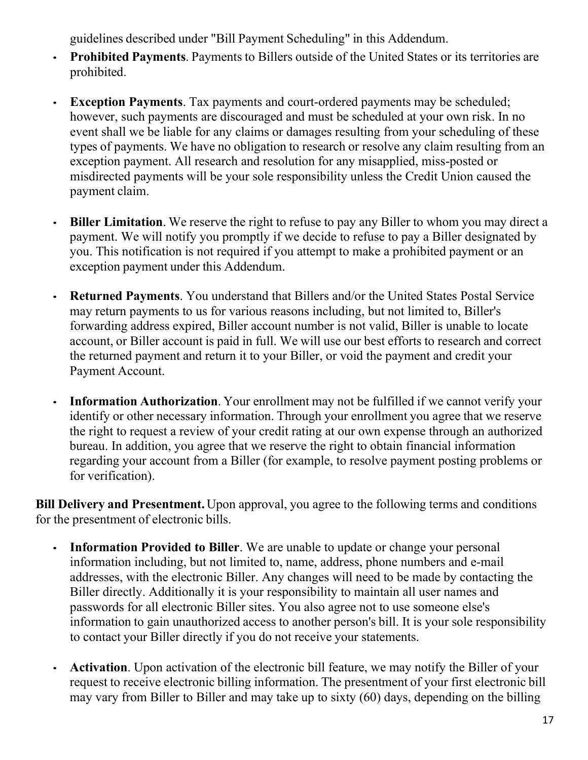guidelines described under "Bill Payment Scheduling" in this Addendum.

- **Prohibited Payments**. Payments to Billers outside of the United States or its territories are prohibited.
- **Exception Payments**. Tax payments and court-ordered payments may be scheduled; however, such payments are discouraged and must be scheduled at your own risk. In no event shall we be liable for any claims or damages resulting from your scheduling of these types of payments. We have no obligation to research or resolve any claim resulting from an exception payment. All research and resolution for any misapplied, miss-posted or misdirected payments will be your sole responsibility unless the Credit Union caused the payment claim.
- **Biller Limitation**. We reserve the right to refuse to pay any Biller to whom you may direct a payment. We will notify you promptly if we decide to refuse to pay a Biller designated by you. This notification is not required if you attempt to make a prohibited payment or an exception payment under this Addendum.
- **Returned Payments**. You understand that Billers and/or the United States Postal Service may return payments to us for various reasons including, but not limited to, Biller's forwarding address expired, Biller account number is not valid, Biller is unable to locate account, or Biller account is paid in full. We will use our best efforts to research and correct the returned payment and return it to your Biller, or void the payment and credit your Payment Account.
- **Information Authorization**. Your enrollment may not be fulfilled if we cannot verify your identify or other necessary information. Through your enrollment you agree that we reserve the right to request a review of your credit rating at our own expense through an authorized bureau. In addition, you agree that we reserve the right to obtain financial information regarding your account from a Biller (for example, to resolve payment posting problems or for verification).

**Bill Delivery and Presentment.** Upon approval, you agree to the following terms and conditions for the presentment of electronic bills.

- **Information Provided to Biller**. We are unable to update or change your personal information including, but not limited to, name, address, phone numbers and e-mail addresses, with the electronic Biller. Any changes will need to be made by contacting the Biller directly. Additionally it is your responsibility to maintain all user names and passwords for all electronic Biller sites. You also agree not to use someone else's information to gain unauthorized access to another person's bill. It is your sole responsibility to contact your Biller directly if you do not receive your statements.
- **Activation**. Upon activation of the electronic bill feature, we may notify the Biller of your request to receive electronic billing information. The presentment of your first electronic bill may vary from Biller to Biller and may take up to sixty (60) days, depending on the billing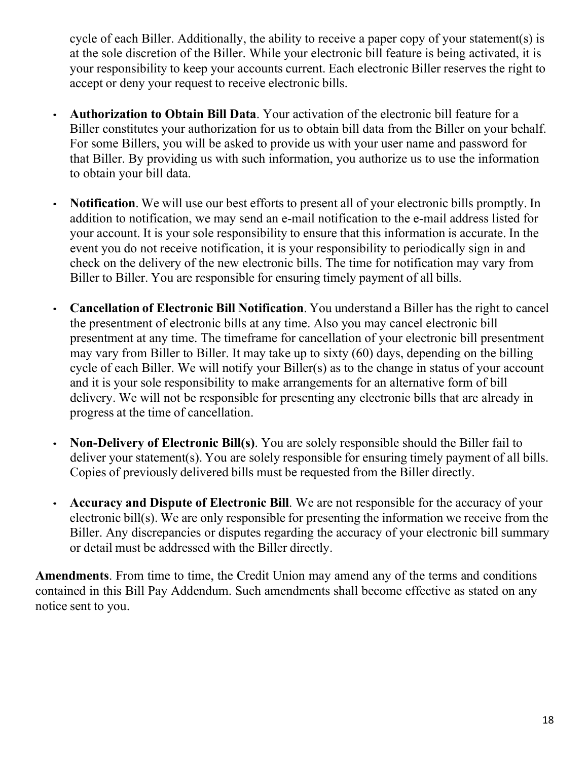cycle of each Biller. Additionally, the ability to receive a paper copy of your statement(s) is at the sole discretion of the Biller. While your electronic bill feature is being activated, it is your responsibility to keep your accounts current. Each electronic Biller reserves the right to accept or deny your request to receive electronic bills.

- **Authorization to Obtain Bill Data**. Your activation of the electronic bill feature for a Biller constitutes your authorization for us to obtain bill data from the Biller on your behalf. For some Billers, you will be asked to provide us with your user name and password for that Biller. By providing us with such information, you authorize us to use the information to obtain your bill data.
- **Notification**. We will use our best efforts to present all of your electronic bills promptly. In addition to notification, we may send an e-mail notification to the e-mail address listed for your account. It is your sole responsibility to ensure that this information is accurate. In the event you do not receive notification, it is your responsibility to periodically sign in and check on the delivery of the new electronic bills. The time for notification may vary from Biller to Biller. You are responsible for ensuring timely payment of all bills.
- **Cancellation of Electronic Bill Notification**. You understand a Biller has the right to cancel the presentment of electronic bills at any time. Also you may cancel electronic bill presentment at any time. The timeframe for cancellation of your electronic bill presentment may vary from Biller to Biller. It may take up to sixty (60) days, depending on the billing cycle of each Biller. We will notify your Biller(s) as to the change in status of your account and it is your sole responsibility to make arrangements for an alternative form of bill delivery. We will not be responsible for presenting any electronic bills that are already in progress at the time of cancellation.
- **Non-Delivery of Electronic Bill(s)**. You are solely responsible should the Biller fail to deliver your statement(s). You are solely responsible for ensuring timely payment of all bills. Copies of previously delivered bills must be requested from the Biller directly.
- **Accuracy and Dispute of Electronic Bill**. We are not responsible for the accuracy of your electronic bill(s). We are only responsible for presenting the information we receive from the Biller. Any discrepancies or disputes regarding the accuracy of your electronic bill summary or detail must be addressed with the Biller directly.

**Amendments**. From time to time, the Credit Union may amend any of the terms and conditions contained in this Bill Pay Addendum. Such amendments shall become effective as stated on any notice sent to you.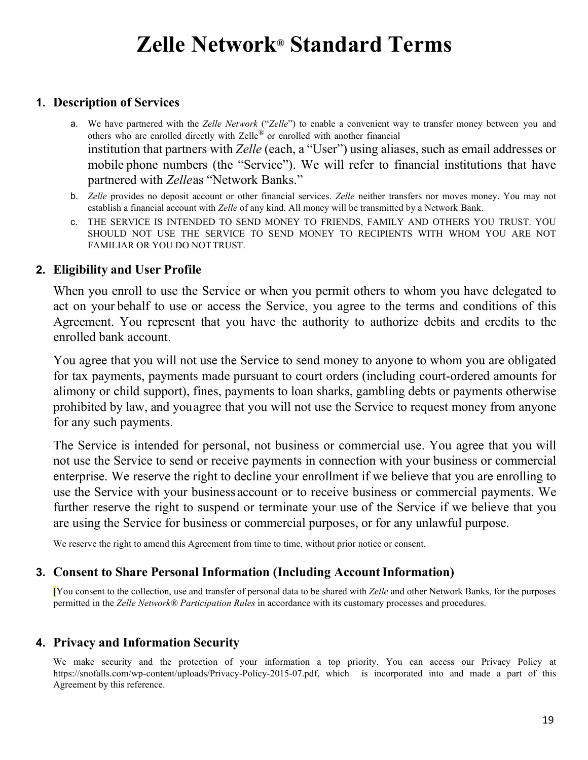# **Zelle Network® Standard Terms**

### **1. Description of Services**

- a. We have partnered with the *Zelle Network* ("*Zelle*") to enable a convenient way to transfer money between you and others who are enrolled directly with Zelle<sup>®</sup> or enrolled with another financial institution that partners with *Zelle* (each, a "User") using aliases, such as email addresses or mobile phone numbers (the "Service"). We will refer to financial institutions that have partnered with *Zelle*as "Network Banks."
- b. *Zelle* provides no deposit account or other financial services. *Zelle* neither transfers nor moves money. You may not establish a financial account with *Zelle* of any kind. All money will be transmitted by a Network Bank.
- c. THE SERVICE IS INTENDED TO SEND MONEY TO FRIENDS, FAMILY AND OTHERS YOU TRUST. YOU SHOULD NOT USE THE SERVICE TO SEND MONEY TO RECIPIENTS WITH WHOM YOU ARE NOT FAMILIAR OR YOU DO NOTTRUST.

### **2. Eligibility and User Profile**

When you enroll to use the Service or when you permit others to whom you have delegated to act on your behalf to use or access the Service, you agree to the terms and conditions of this Agreement. You represent that you have the authority to authorize debits and credits to the enrolled bank account.

You agree that you will not use the Service to send money to anyone to whom you are obligated for tax payments, payments made pursuant to court orders (including court-ordered amounts for alimony or child support), fines, payments to loan sharks, gambling debts or payments otherwise prohibited by law, and youagree that you will not use the Service to request money from anyone for any such payments.

The Service is intended for personal, not business or commercial use. You agree that you will not use the Service to send or receive payments in connection with your business or commercial enterprise. We reserve the right to decline your enrollment if we believe that you are enrolling to use the Service with your business account or to receive business or commercial payments. We further reserve the right to suspend or terminate your use of the Service if we believe that you are using the Service for business or commercial purposes, or for any unlawful purpose.

We reserve the right to amend this Agreement from time to time, without prior notice or consent.

### **3. Consent to Share Personal Information (Including Account Information)**

[You consent to the collection, use and transfer of personal data to be shared with *Zelle* and other Network Banks, for the purposes permitted in the *Zelle Network® Participation Rules* in accordance with its customary processes and procedures.

### **4. Privacy and Information Security**

We make security and the protection of your information a top priority. You can access our Privacy Policy at https://snofalls.com/wp-content/uploads/Privacy-Policy-2015-07.pdf, which is incorporated into and made a part of this Agreement by this reference.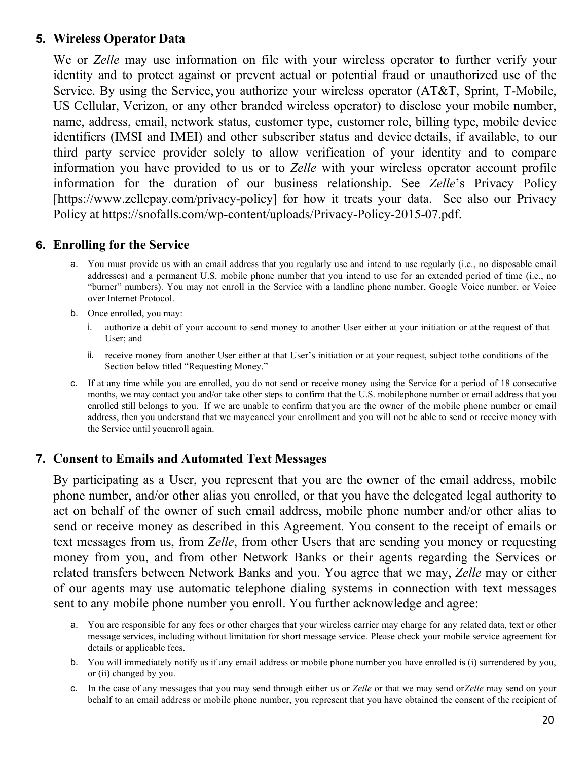### **5. Wireless Operator Data**

We or *Zelle* may use information on file with your wireless operator to further verify your identity and to protect against or prevent actual or potential fraud or unauthorized use of the Service. By using the Service, you authorize your wireless operator (AT&T, Sprint, T-Mobile, US Cellular, Verizon, or any other branded wireless operator) to disclose your mobile number, name, address, email, network status, customer type, customer role, billing type, mobile device identifiers (IMSI and IMEI) and other subscriber status and device details, if available, to our third party service provider solely to allow verification of your identity and to compare information you have provided to us or to *Zelle* with your wireless operator account profile information for the duration of our business relationship. See *Zelle*'s Privacy Policy [\[https://www.zellepay.](http://www.zellepay.com/privacy-policy)com/p[rivacy-policy\] fo](http://www.zellepay.com/privacy-policy)r how it treats your data. See also our Privacy Policy at https://snofalls.com/wp-content/uploads/Privacy-Policy-2015-07.pdf.

### **6. Enrolling for the Service**

- a. You must provide us with an email address that you regularly use and intend to use regularly (i.e., no disposable email addresses) and a permanent U.S. mobile phone number that you intend to use for an extended period of time (i.e., no "burner" numbers). You may not enroll in the Service with a landline phone number, Google Voice number, or Voice over Internet Protocol.
- b. Once enrolled, you may:
	- i. authorize a debit of your account to send money to another User either at your initiation or atthe request of that User; and
	- ii. receive money from another User either at that User's initiation or at your request, subject tothe conditions of the Section below titled "Requesting Money."
- c. If at any time while you are enrolled, you do not send or receive money using the Service for a period of 18 consecutive months, we may contact you and/or take other steps to confirm that the U.S. mobilephone number or email address that you enrolled still belongs to you. If we are unable to confirm that you are the owner of the mobile phone number or email address, then you understand that we maycancel your enrollment and you will not be able to send or receive money with the Service until youenroll again.

### **7. Consent to Emails and Automated Text Messages**

By participating as a User, you represent that you are the owner of the email address, mobile phone number, and/or other alias you enrolled, or that you have the delegated legal authority to act on behalf of the owner of such email address, mobile phone number and/or other alias to send or receive money as described in this Agreement. You consent to the receipt of emails or text messages from us, from *Zelle*, from other Users that are sending you money or requesting money from you, and from other Network Banks or their agents regarding the Services or related transfers between Network Banks and you. You agree that we may, *Zelle* may or either of our agents may use automatic telephone dialing systems in connection with text messages sent to any mobile phone number you enroll. You further acknowledge and agree:

- a. You are responsible for any fees or other charges that your wireless carrier may charge for any related data, text or other message services, including without limitation for short message service. Please check your mobile service agreement for details or applicable fees.
- b. You will immediately notify us if any email address or mobile phone number you have enrolled is (i) surrendered by you, or (ii) changed by you.
- c. In the case of any messages that you may send through either us or *Zelle* or that we may send or*Zelle* may send on your behalf to an email address or mobile phone number, you represent that you have obtained the consent of the recipient of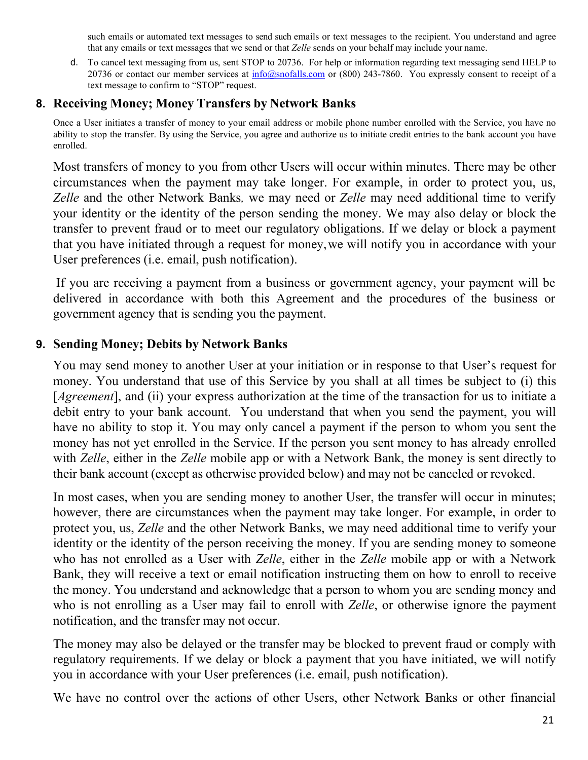such emails or automated text messages to send such emails or text messages to the recipient. You understand and agree that any emails or text messages that we send or that *Zelle* sends on your behalf may include your name.

d. To cancel text messaging from us, sent STOP to 20736. For help or information regarding text messaging send HELP to 20736 or contact our member services at  $\frac{info(@snofalls.com)}{info(@snofalls.com)}$  or (800) 243-7860. You expressly consent to receipt of a text message to confirm to "STOP" request.

### **8. Receiving Money; Money Transfers by Network Banks**

Once a User initiates a transfer of money to your email address or mobile phone number enrolled with the Service, you have no ability to stop the transfer. By using the Service, you agree and authorize us to initiate credit entries to the bank account you have enrolled.

Most transfers of money to you from other Users will occur within minutes. There may be other circumstances when the payment may take longer. For example, in order to protect you, us, *Zelle* and the other Network Banks*,* we may need or *Zelle* may need additional time to verify your identity or the identity of the person sending the money. We may also delay or block the transfer to prevent fraud or to meet our regulatory obligations. If we delay or block a payment that you have initiated through a request for money,we will notify you in accordance with your User preferences (i.e. email, push notification).

If you are receiving a payment from a business or government agency, your payment will be delivered in accordance with both this Agreement and the procedures of the business or government agency that is sending you the payment.

### **9. Sending Money; Debits by Network Banks**

You may send money to another User at your initiation or in response to that User's request for money. You understand that use of this Service by you shall at all times be subject to (i) this [*Agreement*], and (ii) your express authorization at the time of the transaction for us to initiate a debit entry to your bank account. You understand that when you send the payment, you will have no ability to stop it. You may only cancel a payment if the person to whom you sent the money has not yet enrolled in the Service. If the person you sent money to has already enrolled with *Zelle*, either in the *Zelle* mobile app or with a Network Bank, the money is sent directly to their bank account (except as otherwise provided below) and may not be canceled or revoked.

In most cases, when you are sending money to another User, the transfer will occur in minutes; however, there are circumstances when the payment may take longer. For example, in order to protect you, us, *Zelle* and the other Network Banks, we may need additional time to verify your identity or the identity of the person receiving the money. If you are sending money to someone who has not enrolled as a User with *Zelle*, either in the *Zelle* mobile app or with a Network Bank, they will receive a text or email notification instructing them on how to enroll to receive the money. You understand and acknowledge that a person to whom you are sending money and who is not enrolling as a User may fail to enroll with *Zelle*, or otherwise ignore the payment notification, and the transfer may not occur.

The money may also be delayed or the transfer may be blocked to prevent fraud or comply with regulatory requirements. If we delay or block a payment that you have initiated, we will notify you in accordance with your User preferences (i.e. email, push notification).

We have no control over the actions of other Users, other Network Banks or other financial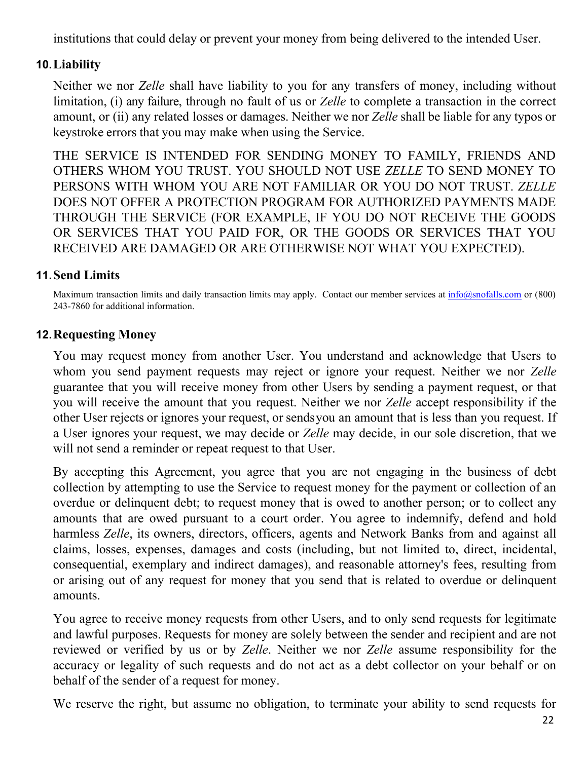institutions that could delay or prevent your money from being delivered to the intended User.

### **10.Liability**

Neither we nor *Zelle* shall have liability to you for any transfers of money, including without limitation, (i) any failure, through no fault of us or *Zelle* to complete a transaction in the correct amount, or (ii) any related losses or damages. Neither we nor *Zelle* shall be liable for any typos or keystroke errors that you may make when using the Service.

THE SERVICE IS INTENDED FOR SENDING MONEY TO FAMILY, FRIENDS AND OTHERS WHOM YOU TRUST. YOU SHOULD NOT USE *ZELLE* TO SEND MONEY TO PERSONS WITH WHOM YOU ARE NOT FAMILIAR OR YOU DO NOT TRUST. *ZELLE* DOES NOT OFFER A PROTECTION PROGRAM FOR AUTHORIZED PAYMENTS MADE THROUGH THE SERVICE (FOR EXAMPLE, IF YOU DO NOT RECEIVE THE GOODS OR SERVICES THAT YOU PAID FOR, OR THE GOODS OR SERVICES THAT YOU RECEIVED ARE DAMAGED OR ARE OTHERWISE NOT WHAT YOU EXPECTED).

### **11.Send Limits**

Maximum transaction limits and daily transaction limits may apply. Contact our member services at  $info(@snofalls.com$  or (800) 243-7860 for additional information.

### **12.Requesting Money**

You may request money from another User. You understand and acknowledge that Users to whom you send payment requests may reject or ignore your request. Neither we nor *Zelle*  guarantee that you will receive money from other Users by sending a payment request, or that you will receive the amount that you request. Neither we nor *Zelle* accept responsibility if the other User rejects or ignores your request, or sendsyou an amount that is less than you request. If a User ignores your request, we may decide or *Zelle* may decide, in our sole discretion, that we will not send a reminder or repeat request to that User.

By accepting this Agreement, you agree that you are not engaging in the business of debt collection by attempting to use the Service to request money for the payment or collection of an overdue or delinquent debt; to request money that is owed to another person; or to collect any amounts that are owed pursuant to a court order. You agree to indemnify, defend and hold harmless *Zelle*, its owners, directors, officers, agents and Network Banks from and against all claims, losses, expenses, damages and costs (including, but not limited to, direct, incidental, consequential, exemplary and indirect damages), and reasonable attorney's fees, resulting from or arising out of any request for money that you send that is related to overdue or delinquent amounts.

You agree to receive money requests from other Users, and to only send requests for legitimate and lawful purposes. Requests for money are solely between the sender and recipient and are not reviewed or verified by us or by *Zelle*. Neither we nor *Zelle* assume responsibility for the accuracy or legality of such requests and do not act as a debt collector on your behalf or on behalf of the sender of a request for money.

We reserve the right, but assume no obligation, to terminate your ability to send requests for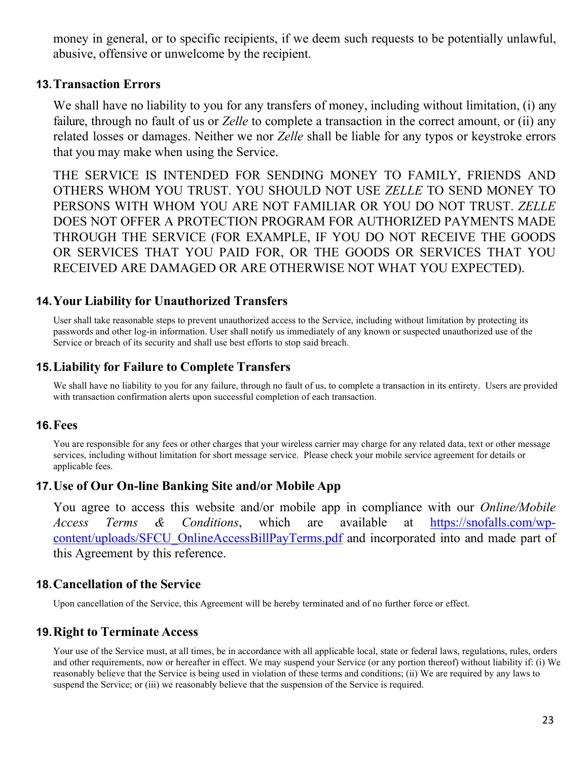money in general, or to specific recipients, if we deem such requests to be potentially unlawful, abusive, offensive or unwelcome by the recipient.

#### **13.Transaction Errors**

We shall have no liability to you for any transfers of money, including without limitation, (i) any failure, through no fault of us or *Zelle* to complete a transaction in the correct amount, or (ii) any related losses or damages. Neither we nor *Zelle* shall be liable for any typos or keystroke errors that you may make when using the Service.

THE SERVICE IS INTENDED FOR SENDING MONEY TO FAMILY, FRIENDS AND OTHERS WHOM YOU TRUST. YOU SHOULD NOT USE *ZELLE* TO SEND MONEY TO PERSONS WITH WHOM YOU ARE NOT FAMILIAR OR YOU DO NOT TRUST. *ZELLE* DOES NOT OFFER A PROTECTION PROGRAM FOR AUTHORIZED PAYMENTS MADE THROUGH THE SERVICE (FOR EXAMPLE, IF YOU DO NOT RECEIVE THE GOODS OR SERVICES THAT YOU PAID FOR, OR THE GOODS OR SERVICES THAT YOU RECEIVED ARE DAMAGED OR ARE OTHERWISE NOT WHAT YOU EXPECTED).

### **14.Your Liability for Unauthorized Transfers**

[User shall](https://www.lawinsider.com/clause/unauthorized-access) take reasonable steps to prevent unauthorized access to the Service, including without limitation by protecting its passwords and other log-in information. User shall notify us immediately of any known or suspected unauthorized use of the Service or breach of its security and shall use best efforts to stop said breach.

### **15.Liability for Failure to Complete Transfers**

We shall have no liability to you for any failure, through no fault of us, to complete a transaction in its entirety. Users are provided with transaction confirmation alerts upon successful completion of each transaction.

#### **16.Fees**

You are responsible for any fees or other charges that your wireless carrier may charge for any related data, text or other message services, including without limitation for short message service. Please check your mobile service agreement for details or applicable fees.

### **17.Use of Our On-line Banking Site and/or Mobile App**

You agree to access this website and/or mobile app in compliance with our *Online/Mobile Access Terms & Conditions*, which are available at [https://snofalls.com/wp](https://snofalls.com/wp-content/uploads/SFCU_OnlineAccessBillPayTerms.pdf)[content/uploads/SFCU\\_OnlineAccessBillPayTerms.pdf](https://snofalls.com/wp-content/uploads/SFCU_OnlineAccessBillPayTerms.pdf) and incorporated into and made part of this Agreement by this reference.

### **18.Cancellation of the Service**

Upon cancellation of the Service, this Agreement will be hereby terminated and of no further force or effect.

### **19.Right to Terminate Access**

Your use of the Service must, at all times, be in accordance with all applicable local, state or federal laws, regulations, rules, orders and other requirements, now or hereafter in effect. We may suspend your Service (or any portion thereof) without liability if: (i) We reasonably believe that the Service is being used in violation of these terms and conditions; (ii) We are required by any laws to suspend the Service; or (iii) we reasonably believe that the suspension of the Service is required.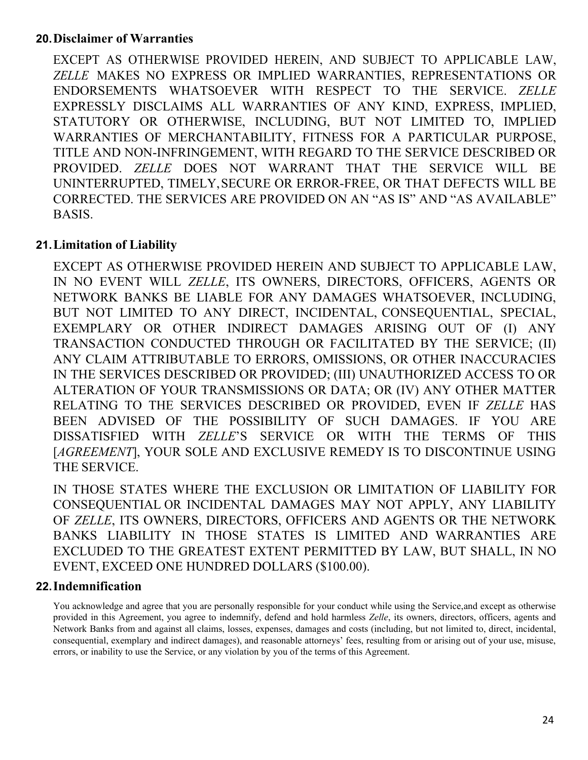### **20.Disclaimer of Warranties**

EXCEPT AS OTHERWISE PROVIDED HEREIN, AND SUBJECT TO APPLICABLE LAW, *ZELLE* MAKES NO EXPRESS OR IMPLIED WARRANTIES, REPRESENTATIONS OR ENDORSEMENTS WHATSOEVER WITH RESPECT TO THE SERVICE. *ZELLE* EXPRESSLY DISCLAIMS ALL WARRANTIES OF ANY KIND, EXPRESS, IMPLIED, STATUTORY OR OTHERWISE, INCLUDING, BUT NOT LIMITED TO, IMPLIED WARRANTIES OF MERCHANTABILITY, FITNESS FOR A PARTICULAR PURPOSE, TITLE AND NON-INFRINGEMENT, WITH REGARD TO THE SERVICE DESCRIBED OR PROVIDED. *ZELLE* DOES NOT WARRANT THAT THE SERVICE WILL BE UNINTERRUPTED, TIMELY,SECURE OR ERROR-FREE, OR THAT DEFECTS WILL BE CORRECTED. THE SERVICES ARE PROVIDED ON AN "AS IS" AND "AS AVAILABLE" BASIS.

### **21.Limitation of Liability**

EXCEPT AS OTHERWISE PROVIDED HEREIN AND SUBJECT TO APPLICABLE LAW, IN NO EVENT WILL *ZELLE*, ITS OWNERS, DIRECTORS, OFFICERS, AGENTS OR NETWORK BANKS BE LIABLE FOR ANY DAMAGES WHATSOEVER, INCLUDING, BUT NOT LIMITED TO ANY DIRECT, INCIDENTAL, CONSEQUENTIAL, SPECIAL, EXEMPLARY OR OTHER INDIRECT DAMAGES ARISING OUT OF (I) ANY TRANSACTION CONDUCTED THROUGH OR FACILITATED BY THE SERVICE; (II) ANY CLAIM ATTRIBUTABLE TO ERRORS, OMISSIONS, OR OTHER INACCURACIES IN THE SERVICES DESCRIBED OR PROVIDED; (III) UNAUTHORIZED ACCESS TO OR ALTERATION OF YOUR TRANSMISSIONS OR DATA; OR (IV) ANY OTHER MATTER RELATING TO THE SERVICES DESCRIBED OR PROVIDED, EVEN IF *ZELLE* HAS BEEN ADVISED OF THE POSSIBILITY OF SUCH DAMAGES. IF YOU ARE DISSATISFIED WITH *ZELLE*'S SERVICE OR WITH THE TERMS OF THIS [*AGREEMENT*], YOUR SOLE AND EXCLUSIVE REMEDY IS TO DISCONTINUE USING THE SERVICE.

IN THOSE STATES WHERE THE EXCLUSION OR LIMITATION OF LIABILITY FOR CONSEQUENTIAL OR INCIDENTAL DAMAGES MAY NOT APPLY, ANY LIABILITY OF *ZELLE*, ITS OWNERS, DIRECTORS, OFFICERS AND AGENTS OR THE NETWORK BANKS LIABILITY IN THOSE STATES IS LIMITED AND WARRANTIES ARE EXCLUDED TO THE GREATEST EXTENT PERMITTED BY LAW, BUT SHALL, IN NO EVENT, EXCEED ONE HUNDRED DOLLARS (\$100.00).

### **22.Indemnification**

You acknowledge and agree that you are personally responsible for your conduct while using the Service,and except as otherwise provided in this Agreement, you agree to indemnify, defend and hold harmless *Zelle*, its owners, directors, officers, agents and Network Banks from and against all claims, losses, expenses, damages and costs (including, but not limited to, direct, incidental, consequential, exemplary and indirect damages), and reasonable attorneys' fees, resulting from or arising out of your use, misuse, errors, or inability to use the Service, or any violation by you of the terms of this Agreement.